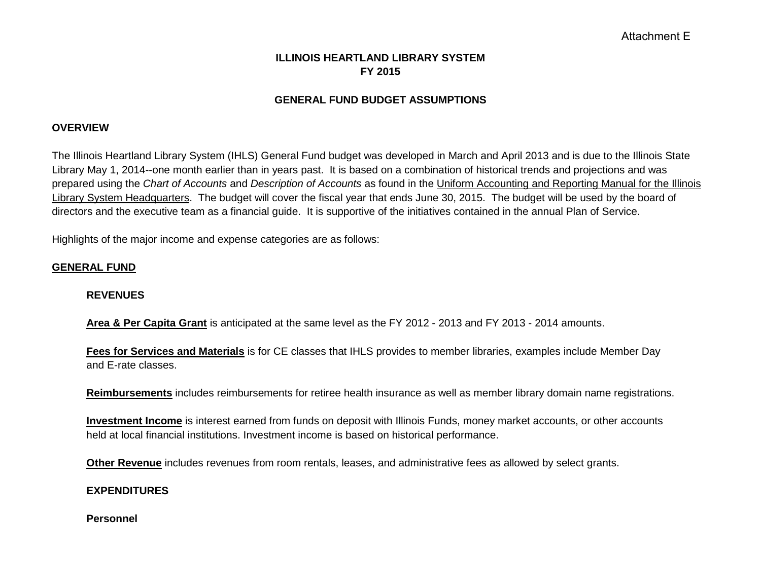# **ILLINOIS HEARTLAND LIBRARY SYSTEM FY 2015**

### **GENERAL FUND BUDGET ASSUMPTIONS**

#### **OVERVIEW**

The Illinois Heartland Library System (IHLS) General Fund budget was developed in March and April 2013 and is due to the Illinois State Library May 1, 2014--one month earlier than in years past. It is based on a combination of historical trends and projections and was prepared using the *Chart of Accounts* and *Description of Accounts* as found in the Uniform Accounting and Reporting Manual for the Illinois Library System Headquarters. The budget will cover the fiscal year that ends June 30, 2015. The budget will be used by the board of directors and the executive team as a financial guide. It is supportive of the initiatives contained in the annual Plan of Service.

Highlights of the major income and expense categories are as follows:

#### **GENERAL FUND**

#### **REVENUES**

**Area & Per Capita Grant** is anticipated at the same level as the FY 2012 - 2013 and FY 2013 - 2014 amounts.

**Fees for Services and Materials** is for CE classes that IHLS provides to member libraries, examples include Member Day and E-rate classes.

**Reimbursements** includes reimbursements for retiree health insurance as well as member library domain name registrations.

**Investment Income** is interest earned from funds on deposit with Illinois Funds, money market accounts, or other accounts held at local financial institutions. Investment income is based on historical performance.

**Other Revenue** includes revenues from room rentals, leases, and administrative fees as allowed by select grants.

#### **EXPENDITURES**

**Personnel**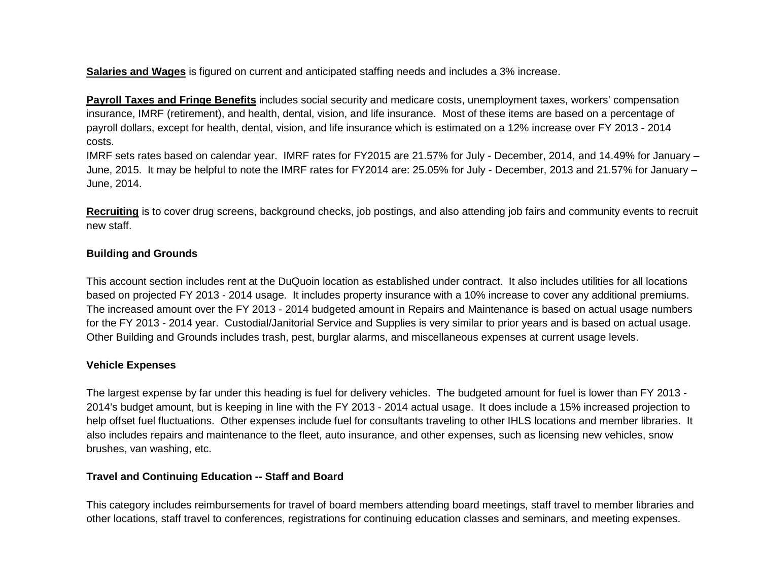**Salaries and Wages** is figured on current and anticipated staffing needs and includes a 3% increase.

**Payroll Taxes and Fringe Benefits** includes social security and medicare costs, unemployment taxes, workers' compensation insurance, IMRF (retirement), and health, dental, vision, and life insurance. Most of these items are based on a percentage of payroll dollars, except for health, dental, vision, and life insurance which is estimated on a 12% increase over FY 2013 - 2014 costs.

IMRF sets rates based on calendar year. IMRF rates for FY2015 are 21.57% for July - December, 2014, and 14.49% for January – June, 2015. It may be helpful to note the IMRF rates for FY2014 are: 25.05% for July - December, 2013 and 21.57% for January – June, 2014.

**Recruiting** is to cover drug screens, background checks, job postings, and also attending job fairs and community events to recruit new staff.

### **Building and Grounds**

This account section includes rent at the DuQuoin location as established under contract. It also includes utilities for all locations based on projected FY 2013 - 2014 usage. It includes property insurance with a 10% increase to cover any additional premiums. The increased amount over the FY 2013 - 2014 budgeted amount in Repairs and Maintenance is based on actual usage numbers for the FY 2013 - 2014 year. Custodial/Janitorial Service and Supplies is very similar to prior years and is based on actual usage. Other Building and Grounds includes trash, pest, burglar alarms, and miscellaneous expenses at current usage levels.

## **Vehicle Expenses**

The largest expense by far under this heading is fuel for delivery vehicles. The budgeted amount for fuel is lower than FY 2013 - 2014's budget amount, but is keeping in line with the FY 2013 - 2014 actual usage. It does include a 15% increased projection to help offset fuel fluctuations. Other expenses include fuel for consultants traveling to other IHLS locations and member libraries. It also includes repairs and maintenance to the fleet, auto insurance, and other expenses, such as licensing new vehicles, snow brushes, van washing, etc.

## **Travel and Continuing Education -- Staff and Board**

This category includes reimbursements for travel of board members attending board meetings, staff travel to member libraries and other locations, staff travel to conferences, registrations for continuing education classes and seminars, and meeting expenses.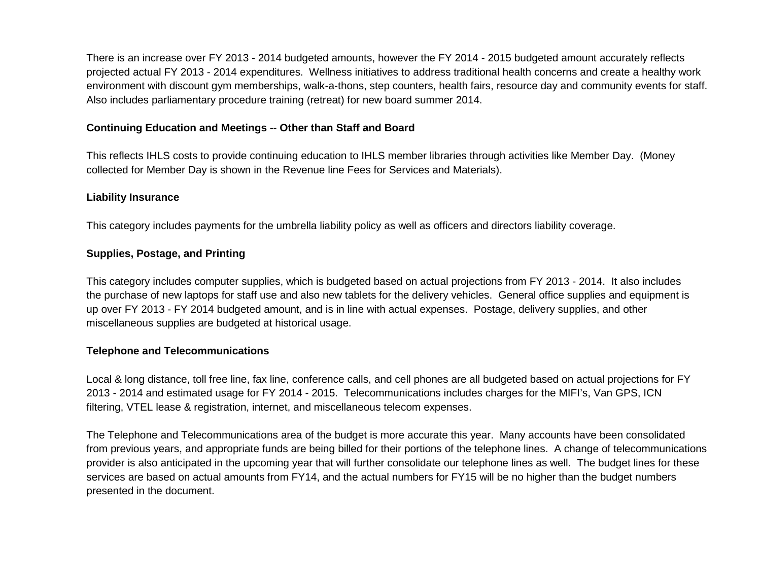There is an increase over FY 2013 - 2014 budgeted amounts, however the FY 2014 - 2015 budgeted amount accurately reflects projected actual FY 2013 - 2014 expenditures. Wellness initiatives to address traditional health concerns and create a healthy work environment with discount gym memberships, walk-a-thons, step counters, health fairs, resource day and community events for staff. Also includes parliamentary procedure training (retreat) for new board summer 2014.

### **Continuing Education and Meetings -- Other than Staff and Board**

This reflects IHLS costs to provide continuing education to IHLS member libraries through activities like Member Day. (Money collected for Member Day is shown in the Revenue line Fees for Services and Materials).

#### **Liability Insurance**

This category includes payments for the umbrella liability policy as well as officers and directors liability coverage.

## **Supplies, Postage, and Printing**

This category includes computer supplies, which is budgeted based on actual projections from FY 2013 - 2014. It also includes the purchase of new laptops for staff use and also new tablets for the delivery vehicles. General office supplies and equipment is up over FY 2013 - FY 2014 budgeted amount, and is in line with actual expenses. Postage, delivery supplies, and other miscellaneous supplies are budgeted at historical usage.

## **Telephone and Telecommunications**

Local & long distance, toll free line, fax line, conference calls, and cell phones are all budgeted based on actual projections for FY 2013 - 2014 and estimated usage for FY 2014 - 2015. Telecommunications includes charges for the MIFI's, Van GPS, ICN filtering, VTEL lease & registration, internet, and miscellaneous telecom expenses.

The Telephone and Telecommunications area of the budget is more accurate this year. Many accounts have been consolidated from previous years, and appropriate funds are being billed for their portions of the telephone lines. A change of telecommunications provider is also anticipated in the upcoming year that will further consolidate our telephone lines as well. The budget lines for these services are based on actual amounts from FY14, and the actual numbers for FY15 will be no higher than the budget numbers presented in the document.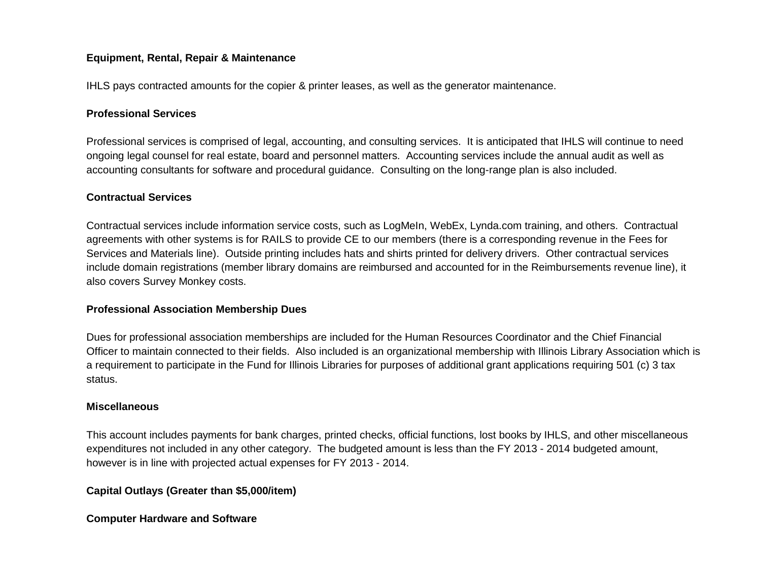## **Equipment, Rental, Repair & Maintenance**

IHLS pays contracted amounts for the copier & printer leases, as well as the generator maintenance.

### **Professional Services**

Professional services is comprised of legal, accounting, and consulting services. It is anticipated that IHLS will continue to need ongoing legal counsel for real estate, board and personnel matters. Accounting services include the annual audit as well as accounting consultants for software and procedural guidance. Consulting on the long-range plan is also included.

#### **Contractual Services**

Contractual services include information service costs, such as LogMeIn, WebEx, Lynda.com training, and others. Contractual agreements with other systems is for RAILS to provide CE to our members (there is a corresponding revenue in the Fees for Services and Materials line). Outside printing includes hats and shirts printed for delivery drivers. Other contractual services include domain registrations (member library domains are reimbursed and accounted for in the Reimbursements revenue line), it also covers Survey Monkey costs.

#### **Professional Association Membership Dues**

Dues for professional association memberships are included for the Human Resources Coordinator and the Chief Financial Officer to maintain connected to their fields. Also included is an organizational membership with Illinois Library Association which is a requirement to participate in the Fund for Illinois Libraries for purposes of additional grant applications requiring 501 (c) 3 tax status.

#### **Miscellaneous**

This account includes payments for bank charges, printed checks, official functions, lost books by IHLS, and other miscellaneous expenditures not included in any other category. The budgeted amount is less than the FY 2013 - 2014 budgeted amount, however is in line with projected actual expenses for FY 2013 - 2014.

## **Capital Outlays (Greater than \$5,000/item)**

**Computer Hardware and Software**